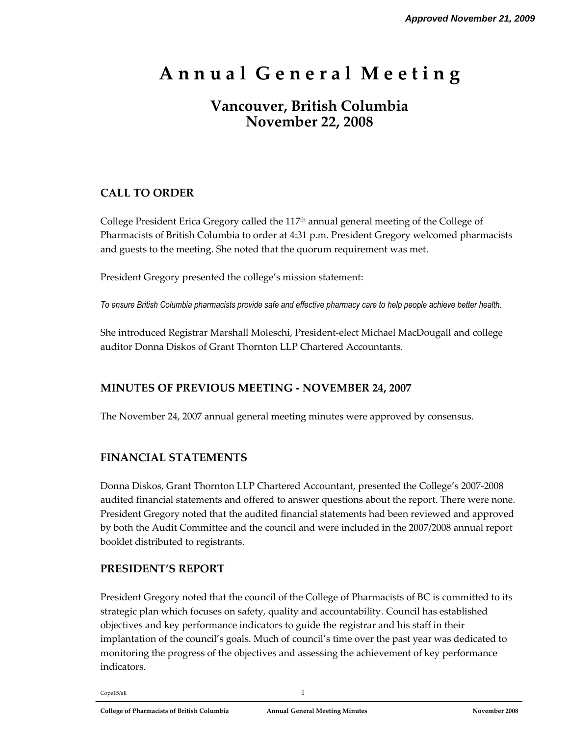# **A n n u a l G e n e r a l M e e t i n g**

## **Vancouver, British Columbia November 22, 2008**

### **CALL TO ORDER**

College President Erica Gregory called the 117 th annual general meeting of the College of Pharmacists of British Columbia to order at 4:31 p.m. President Gregory welcomed pharmacists and guests to the meeting. She noted that the quorum requirement was met.

President Gregory presented the college's mission statement:

*To ensure British Columbia pharmacists provide safe and effective pharmacy care to help people achieve better health.*

She introduced Registrar Marshall Moleschi, President-elect Michael MacDougall and college auditor Donna Diskos of Grant Thornton LLP Chartered Accountants.

#### **MINUTES OF PREVIOUS MEETING - NOVEMBER 24, 2007**

The November 24, 2007 annual general meeting minutes were approved by consensus.

#### **FINANCIAL STATEMENTS**

Donna Diskos, Grant Thornton LLP Chartered Accountant, presented the College's 2007-2008 audited financial statements and offered to answer questions about the report. There were none. President Gregory noted that the audited financial statements had been reviewed and approved by both the Audit Committee and the council and were included in the 2007/2008 annual report booklet distributed to registrants.

#### **PRESIDENT'S REPORT**

President Gregory noted that the council of the College of Pharmacists of BC is committed to its strategic plan which focuses on safety, quality and accountability. Council has established objectives and key performance indicators to guide the registrar and his staff in their implantation of the council's goals. Much of council's time over the past year was dedicated to monitoring the progress of the objectives and assessing the achievement of key performance indicators.

 $Cope15/all$   $1$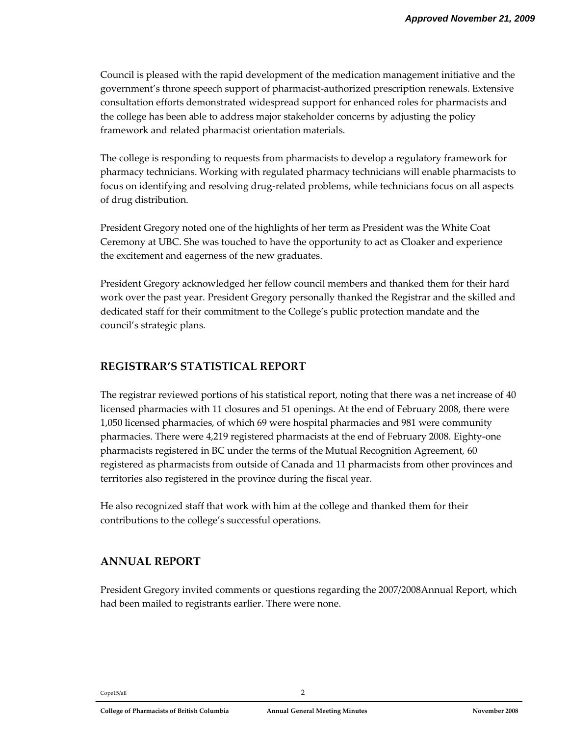Council is pleased with the rapid development of the medication management initiative and the government's throne speech support of pharmacist-authorized prescription renewals. Extensive consultation efforts demonstrated widespread support for enhanced roles for pharmacists and the college has been able to address major stakeholder concerns by adjusting the policy framework and related pharmacist orientation materials.

The college is responding to requests from pharmacists to develop a regulatory framework for pharmacy technicians. Working with regulated pharmacy technicians will enable pharmacists to focus on identifying and resolving drug-related problems, while technicians focus on all aspects of drug distribution.

President Gregory noted one of the highlights of her term as President was the White Coat Ceremony at UBC. She was touched to have the opportunity to act as Cloaker and experience the excitement and eagerness of the new graduates.

President Gregory acknowledged her fellow council members and thanked them for their hard work over the past year. President Gregory personally thanked the Registrar and the skilled and dedicated staff for their commitment to the College's public protection mandate and the council's strategic plans.

#### **REGISTRAR'S STATISTICAL REPORT**

The registrar reviewed portions of his statistical report, noting that there was a net increase of 40 licensed pharmacies with 11 closures and 51 openings. At the end of February 2008, there were 1,050 licensed pharmacies, of which 69 were hospital pharmacies and 981 were community pharmacies. There were 4,219 registered pharmacists at the end of February 2008. Eighty-one pharmacists registered in BC under the terms of the Mutual Recognition Agreement, 60 registered as pharmacists from outside of Canada and 11 pharmacists from other provinces and territories also registered in the province during the fiscal year.

He also recognized staff that work with him at the college and thanked them for their contributions to the college's successful operations.

#### **ANNUAL REPORT**

President Gregory invited comments or questions regarding the 2007/2008Annual Report, which had been mailed to registrants earlier. There were none.

#### Cope15/all 2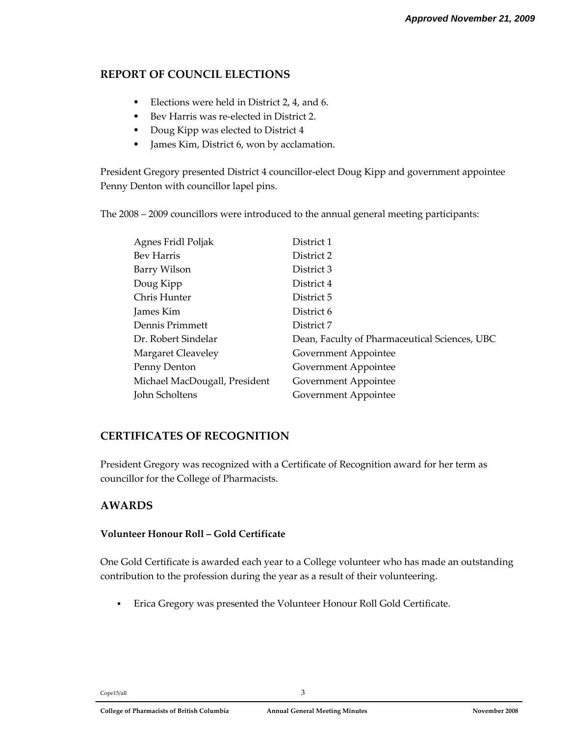#### **REPORT OF COUNCIL ELECTIONS**

- Elections were held in District 2, 4, and 6.
- Bev Harris was re-elected in District 2.
- Doug Kipp was elected to District 4
- James Kim, District 6, won by acclamation.

President Gregory presented District 4 councillor-elect Doug Kipp and government appointee Penny Denton with councillor lapel pins.

The 2008 – 2009 councillors were introduced to the annual general meeting participants:

| Agnes Fridl Poljak            | District 1                                    |
|-------------------------------|-----------------------------------------------|
| Bev Harris                    | District 2                                    |
| Barry Wilson                  | District 3                                    |
| Doug Kipp                     | District 4                                    |
| Chris Hunter                  | District 5                                    |
| James Kim                     | District 6                                    |
| Dennis Primmett               | District 7                                    |
| Dr. Robert Sindelar           | Dean, Faculty of Pharmaceutical Sciences, UBC |
| Margaret Cleaveley            | Government Appointee                          |
| Penny Denton                  | Government Appointee                          |
| Michael MacDougall, President | Government Appointee                          |
| John Scholtens                | Government Appointee                          |
|                               |                                               |

#### **CERTIFICATES OF RECOGNITION**

President Gregory was recognized with a Certificate of Recognition award for her term as councillor for the College of Pharmacists.

#### **AWARDS**

#### **Volunteer Honour Roll – Gold Certificate**

One Gold Certificate is awarded each year to a College volunteer who has made an outstanding contribution to the profession during the year as a result of their volunteering.

Erica Gregory was presented the Volunteer Honour Roll Gold Certificate.